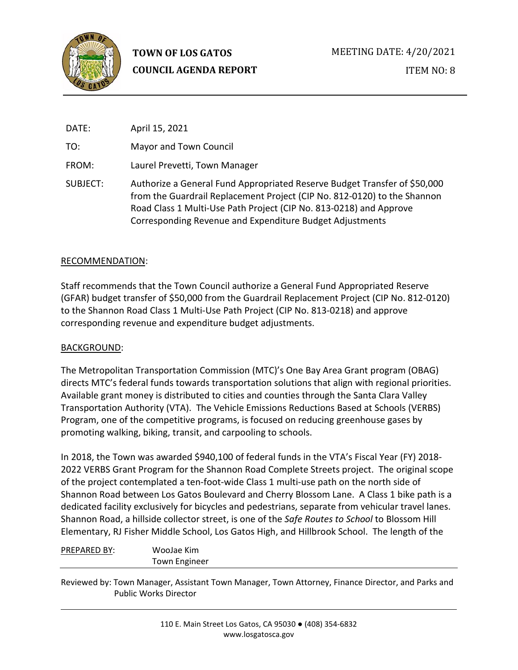

| DATE:    | April 15, 2021                                                                                                                                                                                                                                                                          |
|----------|-----------------------------------------------------------------------------------------------------------------------------------------------------------------------------------------------------------------------------------------------------------------------------------------|
| TO:      | Mayor and Town Council                                                                                                                                                                                                                                                                  |
| FROM:    | Laurel Prevetti, Town Manager                                                                                                                                                                                                                                                           |
| SUBJECT: | Authorize a General Fund Appropriated Reserve Budget Transfer of \$50,000<br>from the Guardrail Replacement Project (CIP No. 812-0120) to the Shannon<br>Road Class 1 Multi-Use Path Project (CIP No. 813-0218) and Approve<br>Corresponding Revenue and Expenditure Budget Adjustments |

### RECOMMENDATION:

Staff recommends that the Town Council authorize a General Fund Appropriated Reserve (GFAR) budget transfer of \$50,000 from the Guardrail Replacement Project (CIP No. 812-0120) to the Shannon Road Class 1 Multi-Use Path Project (CIP No. 813-0218) and approve corresponding revenue and expenditure budget adjustments.

#### BACKGROUND:

The Metropolitan Transportation Commission (MTC)'s One Bay Area Grant program (OBAG) directs MTC's federal funds towards transportation solutions that align with regional priorities. Available grant money is distributed to cities and counties through the Santa Clara Valley Transportation Authority (VTA). The Vehicle Emissions Reductions Based at Schools (VERBS) Program, one of the competitive programs, is focused on reducing greenhouse gases by promoting walking, biking, transit, and carpooling to schools.

In 2018, the Town was awarded \$940,100 of federal funds in the VTA's Fiscal Year (FY) 2018- 2022 VERBS Grant Program for the Shannon Road Complete Streets project. The original scope of the project contemplated a ten-foot-wide Class 1 multi-use path on the north side of Shannon Road between Los Gatos Boulevard and Cherry Blossom Lane. A Class 1 bike path is a dedicated facility exclusively for bicycles and pedestrians, separate from vehicular travel lanes. Shannon Road, a hillside collector street, is one of the *Safe Routes to School* to Blossom Hill Elementary, RJ Fisher Middle School, Los Gatos High, and Hillbrook School. The length of the

| WooJae Kim           |
|----------------------|
| <b>Town Engineer</b> |

Reviewed by: Town Manager, Assistant Town Manager, Town Attorney, Finance Director, and Parks and Public Works Director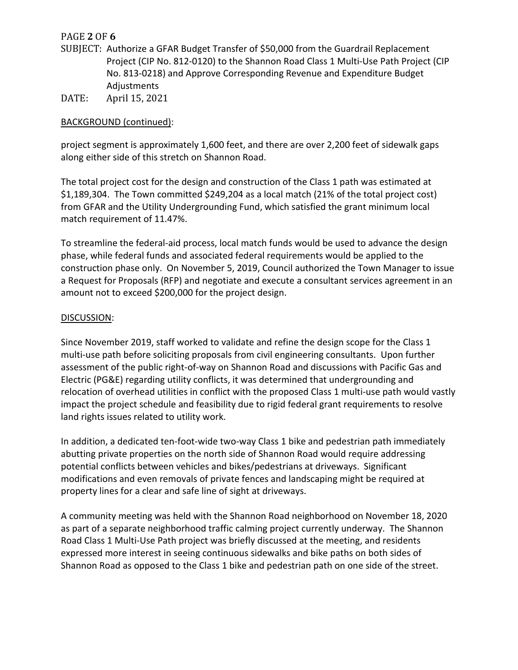# PAGE **2** OF **6**

- SUBJECT: Authorize a GFAR Budget Transfer of \$50,000 from the Guardrail Replacement Project (CIP No. 812-0120) to the Shannon Road Class 1 Multi-Use Path Project (CIP No. 813-0218) and Approve Corresponding Revenue and Expenditure Budget Adjustments
- DATE: April 15, 2021

## BACKGROUND (continued):

project segment is approximately 1,600 feet, and there are over 2,200 feet of sidewalk gaps along either side of this stretch on Shannon Road.

The total project cost for the design and construction of the Class 1 path was estimated at \$1,189,304. The Town committed \$249,204 as a local match (21% of the total project cost) from GFAR and the Utility Undergrounding Fund, which satisfied the grant minimum local match requirement of 11.47%.

To streamline the federal-aid process, local match funds would be used to advance the design phase, while federal funds and associated federal requirements would be applied to the construction phase only. On November 5, 2019, Council authorized the Town Manager to issue a Request for Proposals (RFP) and negotiate and execute a consultant services agreement in an amount not to exceed \$200,000 for the project design.

### DISCUSSION:

Since November 2019, staff worked to validate and refine the design scope for the Class 1 multi-use path before soliciting proposals from civil engineering consultants. Upon further assessment of the public right-of-way on Shannon Road and discussions with Pacific Gas and Electric (PG&E) regarding utility conflicts, it was determined that undergrounding and relocation of overhead utilities in conflict with the proposed Class 1 multi-use path would vastly impact the project schedule and feasibility due to rigid federal grant requirements to resolve land rights issues related to utility work.

In addition, a dedicated ten-foot-wide two-way Class 1 bike and pedestrian path immediately abutting private properties on the north side of Shannon Road would require addressing potential conflicts between vehicles and bikes/pedestrians at driveways. Significant modifications and even removals of private fences and landscaping might be required at property lines for a clear and safe line of sight at driveways.

A community meeting was held with the Shannon Road neighborhood on November 18, 2020 as part of a separate neighborhood traffic calming project currently underway. The Shannon Road Class 1 Multi-Use Path project was briefly discussed at the meeting, and residents expressed more interest in seeing continuous sidewalks and bike paths on both sides of Shannon Road as opposed to the Class 1 bike and pedestrian path on one side of the street.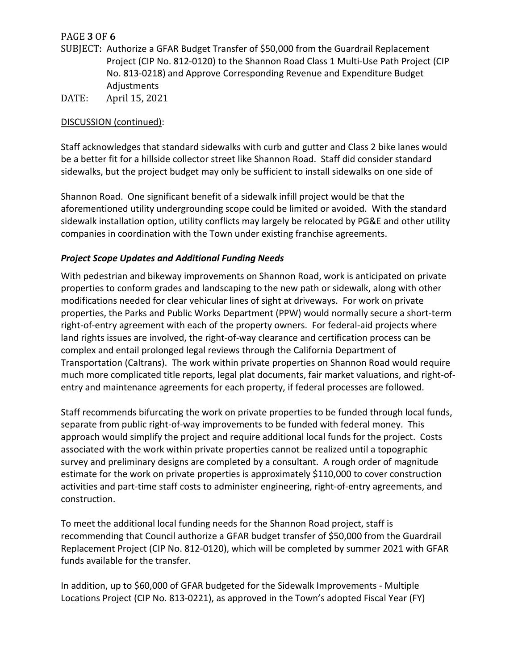# PAGE **3** OF **6**

- SUBJECT: Authorize a GFAR Budget Transfer of \$50,000 from the Guardrail Replacement Project (CIP No. 812-0120) to the Shannon Road Class 1 Multi-Use Path Project (CIP No. 813-0218) and Approve Corresponding Revenue and Expenditure Budget Adjustments DATE: April 15, 2021
- 

## DISCUSSION (continued):

Staff acknowledges that standard sidewalks with curb and gutter and Class 2 bike lanes would be a better fit for a hillside collector street like Shannon Road. Staff did consider standard sidewalks, but the project budget may only be sufficient to install sidewalks on one side of

Shannon Road. One significant benefit of a sidewalk infill project would be that the aforementioned utility undergrounding scope could be limited or avoided. With the standard sidewalk installation option, utility conflicts may largely be relocated by PG&E and other utility companies in coordination with the Town under existing franchise agreements.

## *Project Scope Updates and Additional Funding Needs*

With pedestrian and bikeway improvements on Shannon Road, work is anticipated on private properties to conform grades and landscaping to the new path or sidewalk, along with other modifications needed for clear vehicular lines of sight at driveways. For work on private properties, the Parks and Public Works Department (PPW) would normally secure a short-term right-of-entry agreement with each of the property owners. For federal-aid projects where land rights issues are involved, the right-of-way clearance and certification process can be complex and entail prolonged legal reviews through the California Department of Transportation (Caltrans). The work within private properties on Shannon Road would require much more complicated title reports, legal plat documents, fair market valuations, and right-ofentry and maintenance agreements for each property, if federal processes are followed.

Staff recommends bifurcating the work on private properties to be funded through local funds, separate from public right-of-way improvements to be funded with federal money. This approach would simplify the project and require additional local funds for the project. Costs associated with the work within private properties cannot be realized until a topographic survey and preliminary designs are completed by a consultant. A rough order of magnitude estimate for the work on private properties is approximately \$110,000 to cover construction activities and part-time staff costs to administer engineering, right-of-entry agreements, and construction.

To meet the additional local funding needs for the Shannon Road project, staff is recommending that Council authorize a GFAR budget transfer of \$50,000 from the Guardrail Replacement Project (CIP No. 812-0120), which will be completed by summer 2021 with GFAR funds available for the transfer.

In addition, up to \$60,000 of GFAR budgeted for the Sidewalk Improvements - Multiple Locations Project (CIP No. 813-0221), as approved in the Town's adopted Fiscal Year (FY)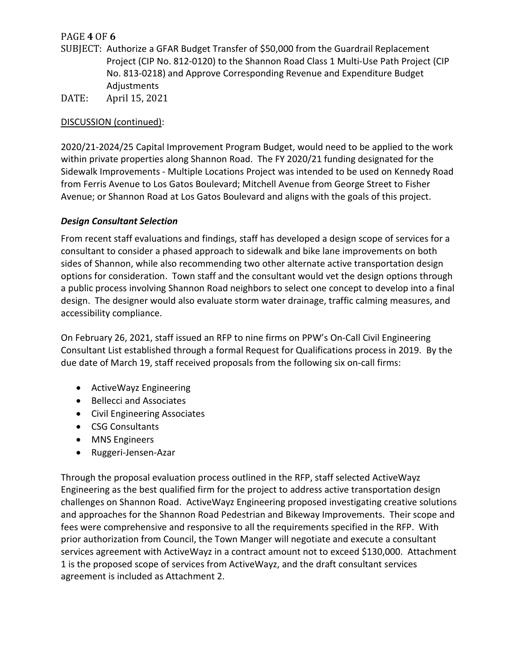# PAGE **4** OF **6**

- SUBJECT: Authorize a GFAR Budget Transfer of \$50,000 from the Guardrail Replacement Project (CIP No. 812-0120) to the Shannon Road Class 1 Multi-Use Path Project (CIP No. 813-0218) and Approve Corresponding Revenue and Expenditure Budget Adjustments
- DATE: April 15, 2021

## DISCUSSION (continued):

2020/21-2024/25 Capital Improvement Program Budget, would need to be applied to the work within private properties along Shannon Road. The FY 2020/21 funding designated for the Sidewalk Improvements - Multiple Locations Project was intended to be used on Kennedy Road from Ferris Avenue to Los Gatos Boulevard; Mitchell Avenue from George Street to Fisher Avenue; or Shannon Road at Los Gatos Boulevard and aligns with the goals of this project.

## *Design Consultant Selection*

From recent staff evaluations and findings, staff has developed a design scope of services for a consultant to consider a phased approach to sidewalk and bike lane improvements on both sides of Shannon, while also recommending two other alternate active transportation design options for consideration. Town staff and the consultant would vet the design options through a public process involving Shannon Road neighbors to select one concept to develop into a final design. The designer would also evaluate storm water drainage, traffic calming measures, and accessibility compliance.

On February 26, 2021, staff issued an RFP to nine firms on PPW's On-Call Civil Engineering Consultant List established through a formal Request for Qualifications process in 2019. By the due date of March 19, staff received proposals from the following six on-call firms:

- ActiveWayz Engineering
- Bellecci and Associates
- Civil Engineering Associates
- CSG Consultants
- MNS Engineers
- Ruggeri-Jensen-Azar

Through the proposal evaluation process outlined in the RFP, staff selected ActiveWayz Engineering as the best qualified firm for the project to address active transportation design challenges on Shannon Road. ActiveWayz Engineering proposed investigating creative solutions and approaches for the Shannon Road Pedestrian and Bikeway Improvements. Their scope and fees were comprehensive and responsive to all the requirements specified in the RFP. With prior authorization from Council, the Town Manger will negotiate and execute a consultant services agreement with ActiveWayz in a contract amount not to exceed \$130,000. Attachment 1 is the proposed scope of services from ActiveWayz, and the draft consultant services agreement is included as Attachment 2.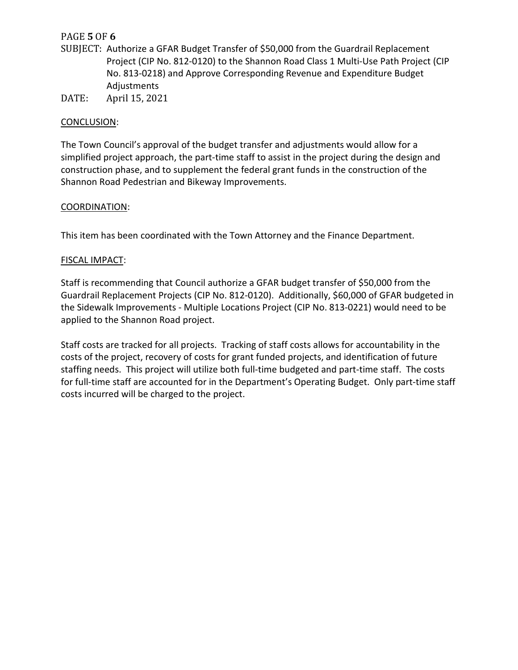# PAGE **5** OF **6**

- SUBJECT: Authorize a GFAR Budget Transfer of \$50,000 from the Guardrail Replacement Project (CIP No. 812-0120) to the Shannon Road Class 1 Multi-Use Path Project (CIP No. 813-0218) and Approve Corresponding Revenue and Expenditure Budget Adjustments
- DATE: April 15, 2021

### CONCLUSION:

The Town Council's approval of the budget transfer and adjustments would allow for a simplified project approach, the part-time staff to assist in the project during the design and construction phase, and to supplement the federal grant funds in the construction of the Shannon Road Pedestrian and Bikeway Improvements.

### COORDINATION:

This item has been coordinated with the Town Attorney and the Finance Department.

### FISCAL IMPACT:

Staff is recommending that Council authorize a GFAR budget transfer of \$50,000 from the Guardrail Replacement Projects (CIP No. 812-0120). Additionally, \$60,000 of GFAR budgeted in the Sidewalk Improvements - Multiple Locations Project (CIP No. 813-0221) would need to be applied to the Shannon Road project.

Staff costs are tracked for all projects. Tracking of staff costs allows for accountability in the costs of the project, recovery of costs for grant funded projects, and identification of future staffing needs. This project will utilize both full-time budgeted and part-time staff. The costs for full-time staff are accounted for in the Department's Operating Budget. Only part-time staff costs incurred will be charged to the project.